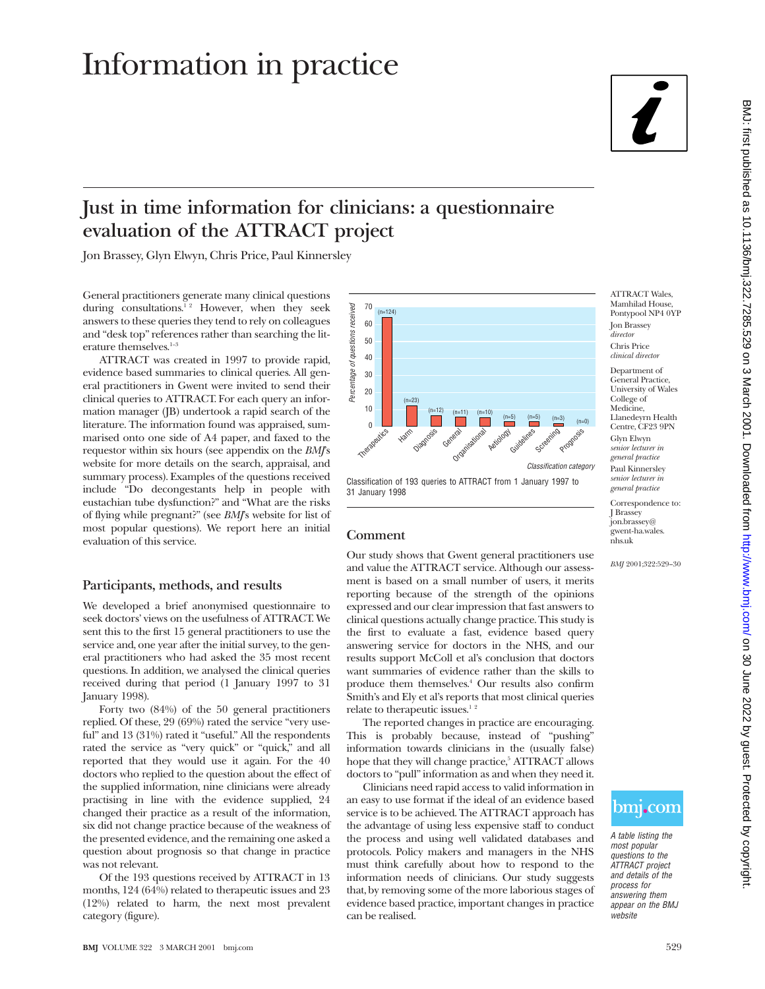# Information in practice

## **Just in time information for clinicians: a questionnaire evaluation of the ATTRACT project**

Jon Brassey, Glyn Elwyn, Chris Price, Paul Kinnersley

General practitioners generate many clinical questions during consultations.<sup>12</sup> However, when they seek answers to these queries they tend to rely on colleagues and "desk top" references rather than searching the literature themselves. $1-3$ 

ATTRACT was created in 1997 to provide rapid, evidence based summaries to clinical queries. All general practitioners in Gwent were invited to send their clinical queries to ATTRACT. For each query an information manager (JB) undertook a rapid search of the literature. The information found was appraised, summarised onto one side of A4 paper, and faxed to the requestor within six hours (see appendix on the *BMJ*'s website for more details on the search, appraisal, and summary process). Examples of the questions received include "Do decongestants help in people with eustachian tube dysfunction?" and "What are the risks of flying while pregnant?" (see *BMJ*'s website for list of most popular questions). We report here an initial evaluation of this service.

#### **Participants, methods, and results**

We developed a brief anonymised questionnaire to seek doctors' views on the usefulness of ATTRACT. We sent this to the first 15 general practitioners to use the service and, one year after the initial survey, to the general practitioners who had asked the 35 most recent questions. In addition, we analysed the clinical queries received during that period (1 January 1997 to 31 January 1998).

Forty two (84%) of the 50 general practitioners replied. Of these, 29 (69%) rated the service "very useful" and 13 (31%) rated it "useful." All the respondents rated the service as "very quick" or "quick," and all reported that they would use it again. For the 40 doctors who replied to the question about the effect of the supplied information, nine clinicians were already practising in line with the evidence supplied, 24 changed their practice as a result of the information, six did not change practice because of the weakness of the presented evidence, and the remaining one asked a question about prognosis so that change in practice was not relevant.

Of the 193 questions received by ATTRACT in 13 months, 124 (64%) related to therapeutic issues and 23 (12%) related to harm, the next most prevalent category (figure).



Classification of 193 queries to ATTRACT from 1 January 1997 to 31 January 1998

#### **Comment**

Our study shows that Gwent general practitioners use and value the ATTRACT service. Although our assessment is based on a small number of users, it merits reporting because of the strength of the opinions expressed and our clear impression that fast answers to clinical questions actually change practice. This study is the first to evaluate a fast, evidence based query answering service for doctors in the NHS, and our results support McColl et al's conclusion that doctors want summaries of evidence rather than the skills to produce them themselves.4 Our results also confirm Smith's and Ely et al's reports that most clinical queries relate to therapeutic issues.<sup>12</sup>

The reported changes in practice are encouraging. This is probably because, instead of "pushing" information towards clinicians in the (usually false) hope that they will change practice,<sup>5</sup> ATTRACT allows doctors to "pull" information as and when they need it.

Clinicians need rapid access to valid information in an easy to use format if the ideal of an evidence based service is to be achieved. The ATTRACT approach has the advantage of using less expensive staff to conduct the process and using well validated databases and protocols. Policy makers and managers in the NHS must think carefully about how to respond to the information needs of clinicians. Our study suggests that, by removing some of the more laborious stages of evidence based practice, important changes in practice can be realised.

ATTRACT Wales, Mamhilad House, Pontypool NP4 0YP Jon Brassey *director* Chris Price *clinical director*

Department of General Practice, University of Wales College of Medicine, Llanedeyrn Health Centre, CF23 9PN Glyn Elwyn *senior lecturer in general practice* Paul Kinnersley *senior lecturer in general practice*

Correspondence to: J Brassey jon.brassey@ gwent-ha.wales. nhs.uk

*BMJ* 2001;322:529–30



A table listing the most popular questions to the ATTRACT project and details of the process for answering them appear on the BMJ website